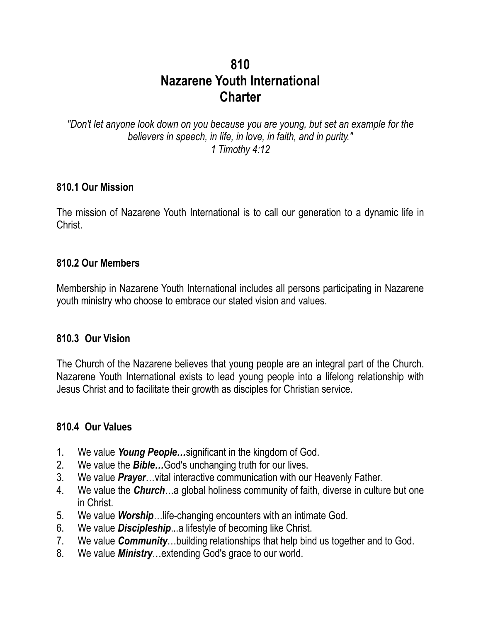# **810 Nazarene Youth International Charter**

*"Don't let anyone look down on you because you are young, but set an example for the believers in speech, in life, in love, in faith, and in purity." 1 Timothy 4:12*

### **810.1 Our Mission**

The mission of Nazarene Youth International is to call our generation to a dynamic life in Christ.

### **810.2 Our Members**

Membership in Nazarene Youth International includes all persons participating in Nazarene youth ministry who choose to embrace our stated vision and values.

### **810.3 Our Vision**

The Church of the Nazarene believes that young people are an integral part of the Church. Nazarene Youth International exists to lead young people into a lifelong relationship with Jesus Christ and to facilitate their growth as disciples for Christian service.

### **810.4 Our Values**

- 1. We value *Young People…*significant in the kingdom of God.
- 2. We value the *Bible…*God's unchanging truth for our lives.
- 3. We value *Prayer*…vital interactive communication with our Heavenly Father.
- 4. We value the *Church*…a global holiness community of faith, diverse in culture but one in Christ.
- 5. We value *Worship*…life-changing encounters with an intimate God.
- 6. We value *Discipleship*...a lifestyle of becoming like Christ.
- 7. We value *Community*…building relationships that help bind us together and to God.
- 8. We value *Ministry*…extending God's grace to our world.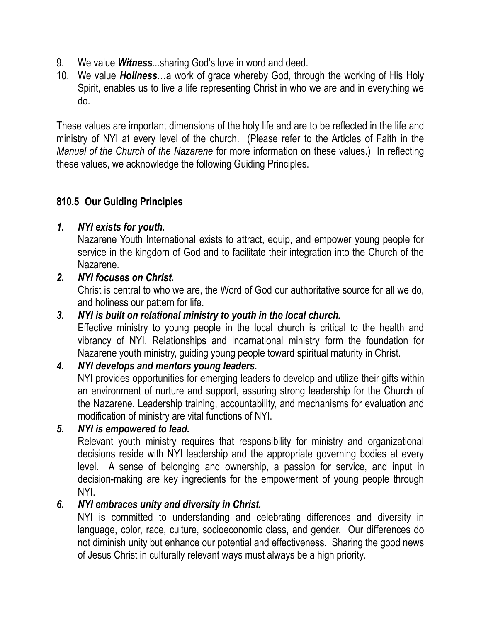- 9. We value *Witness*...sharing God's love in word and deed.
- 10. We value *Holiness*…a work of grace whereby God, through the working of His Holy Spirit, enables us to live a life representing Christ in who we are and in everything we do.

These values are important dimensions of the holy life and are to be reflected in the life and ministry of NYI at every level of the church. (Please refer to the Articles of Faith in the *Manual of the Church of the Nazarene* for more information on these values.) In reflecting these values, we acknowledge the following Guiding Principles.

# **810.5 Our Guiding Principles**

# *1. NYI exists for youth.*

Nazarene Youth International exists to attract, equip, and empower young people for service in the kingdom of God and to facilitate their integration into the Church of the Nazarene.

*2. NYI focuses on Christ.*

Christ is central to who we are, the Word of God our authoritative source for all we do, and holiness our pattern for life.

*3. NYI is built on relational ministry to youth in the local church.*

Effective ministry to young people in the local church is critical to the health and vibrancy of NYI. Relationships and incarnational ministry form the foundation for Nazarene youth ministry, guiding young people toward spiritual maturity in Christ.

# *4. NYI develops and mentors young leaders.*

NYI provides opportunities for emerging leaders to develop and utilize their gifts within an environment of nurture and support, assuring strong leadership for the Church of the Nazarene. Leadership training, accountability, and mechanisms for evaluation and modification of ministry are vital functions of NYI.

# *5. NYI is empowered to lead.*

Relevant youth ministry requires that responsibility for ministry and organizational decisions reside with NYI leadership and the appropriate governing bodies at every level. A sense of belonging and ownership, a passion for service, and input in decision-making are key ingredients for the empowerment of young people through NYI.

# *6. NYI embraces unity and diversity in Christ.*

NYI is committed to understanding and celebrating differences and diversity in language, color, race, culture, socioeconomic class, and gender. Our differences do not diminish unity but enhance our potential and effectiveness. Sharing the good news of Jesus Christ in culturally relevant ways must always be a high priority.